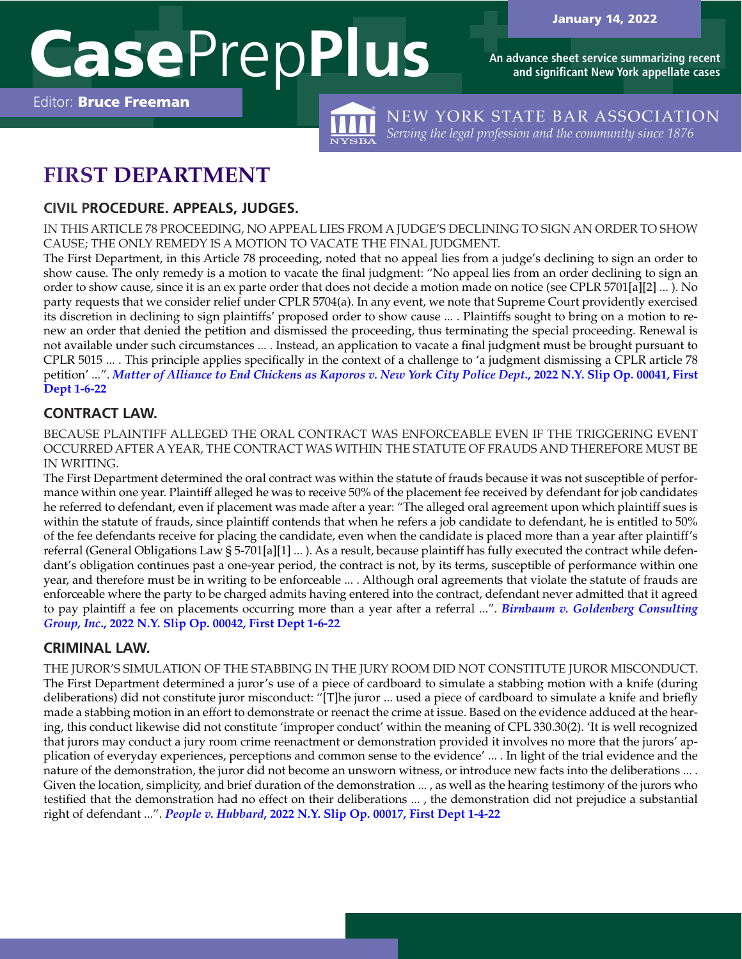

**An advance sheet service summarizing recent and significant New York appellate cases**

Editor: Bruce Freeman



NEW YORK STATE BAR ASSOCIATION *Serving the legal profession and the community since 1876*

# **FIRST DEPARTMENT**

## **CIVIL PROCEDURE. APPEALS, JUDGES.**

IN THIS ARTICLE 78 PROCEEDING, NO APPEAL LIES FROM A JUDGE'S DECLINING TO SIGN AN ORDER TO SHOW CAUSE; THE ONLY REMEDY IS A MOTION TO VACATE THE FINAL JUDGMENT.

The First Department, in this Article 78 proceeding, noted that no appeal lies from a judge's declining to sign an order to show cause. The only remedy is a motion to vacate the final judgment: "No appeal lies from an order declining to sign an order to show cause, since it is an ex parte order that does not decide a motion made on notice (see CPLR 5701[a][2] ... ). No party requests that we consider relief under CPLR 5704(a). In any event, we note that Supreme Court providently exercised its discretion in declining to sign plaintiffs' proposed order to show cause ... . Plaintiffs sought to bring on a motion to renew an order that denied the petition and dismissed the proceeding, thus terminating the special proceeding. Renewal is not available under such circumstances ... . Instead, an application to vacate a final judgment must be brought pursuant to CPLR 5015 ... . This principle applies specifically in the context of a challenge to 'a judgment dismissing a CPLR article 78 petition' ...". *[Matter of Alliance to End Chickens as Kaporos v. New York City Police Dept](https://nycourts.gov/reporter/3dseries/2022/2022_00041.htm)***., 2022 N.Y. Slip Op. 00041, First [Dept 1-6-22](https://nycourts.gov/reporter/3dseries/2022/2022_00041.htm)**

# **CONTRACT LAW.**

BECAUSE PLAINTIFF ALLEGED THE ORAL CONTRACT WAS ENFORCEABLE EVEN IF THE TRIGGERING EVENT OCCURRED AFTER A YEAR, THE CONTRACT WAS WITHIN THE STATUTE OF FRAUDS AND THEREFORE MUST BE IN WRITING.

The First Department determined the oral contract was within the statute of frauds because it was not susceptible of performance within one year. Plaintiff alleged he was to receive 50% of the placement fee received by defendant for job candidates he referred to defendant, even if placement was made after a year: "The alleged oral agreement upon which plaintiff sues is within the statute of frauds, since plaintiff contends that when he refers a job candidate to defendant, he is entitled to 50% of the fee defendants receive for placing the candidate, even when the candidate is placed more than a year after plaintiff's referral (General Obligations Law § 5-701[a][1] ... ). As a result, because plaintiff has fully executed the contract while defendant's obligation continues past a one-year period, the contract is not, by its terms, susceptible of performance within one year, and therefore must be in writing to be enforceable ... . Although oral agreements that violate the statute of frauds are enforceable where the party to be charged admits having entered into the contract, defendant never admitted that it agreed to pay plaintiff a fee on placements occurring more than a year after a referral ...". *[Birnbaum v. Goldenberg Consulting](https://nycourts.gov/reporter/3dseries/2022/2022_00042.htm) Group, Inc***[., 2022 N.Y. Slip Op. 00042, First Dept 1-6-22](https://nycourts.gov/reporter/3dseries/2022/2022_00042.htm)**

# **CRIMINAL LAW.**

THE JUROR'S SIMULATION OF THE STABBING IN THE JURY ROOM DID NOT CONSTITUTE JUROR MISCONDUCT. The First Department determined a juror's use of a piece of cardboard to simulate a stabbing motion with a knife (during deliberations) did not constitute juror misconduct: "[T]he juror ... used a piece of cardboard to simulate a knife and briefly made a stabbing motion in an effort to demonstrate or reenact the crime at issue. Based on the evidence adduced at the hearing, this conduct likewise did not constitute 'improper conduct' within the meaning of CPL 330.30(2). 'It is well recognized that jurors may conduct a jury room crime reenactment or demonstration provided it involves no more that the jurors' application of everyday experiences, perceptions and common sense to the evidence' ... . In light of the trial evidence and the nature of the demonstration, the juror did not become an unsworn witness, or introduce new facts into the deliberations ... . Given the location, simplicity, and brief duration of the demonstration ..., as well as the hearing testimony of the jurors who testified that the demonstration had no effect on their deliberations ... , the demonstration did not prejudice a substantial right of defendant ...". *People v. Hubbard***[, 2022 N.Y. Slip Op. 00017, First Dept 1-4-22](https://nycourts.gov/reporter/3dseries/2022/2022_00017.htm)**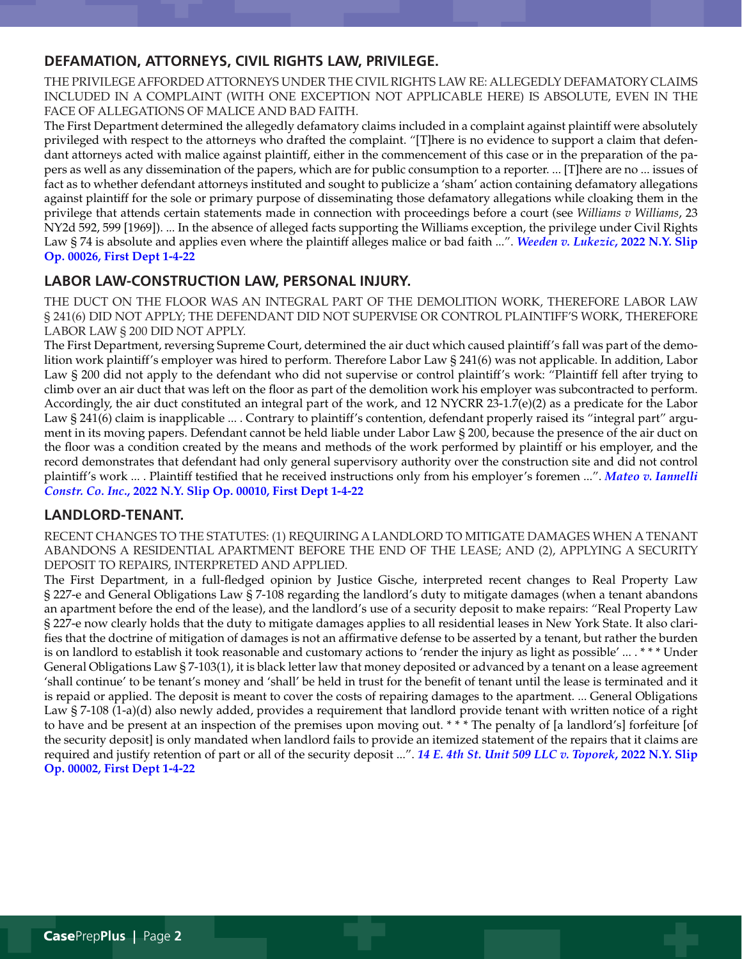#### **DEFAMATION, ATTORNEYS, CIVIL RIGHTS LAW, PRIVILEGE.**

THE PRIVILEGE AFFORDED ATTORNEYS UNDER THE CIVIL RIGHTS LAW RE: ALLEGEDLY DEFAMATORY CLAIMS INCLUDED IN A COMPLAINT (WITH ONE EXCEPTION NOT APPLICABLE HERE) IS ABSOLUTE, EVEN IN THE FACE OF ALLEGATIONS OF MALICE AND BAD FAITH.

The First Department determined the allegedly defamatory claims included in a complaint against plaintiff were absolutely privileged with respect to the attorneys who drafted the complaint. "[T]here is no evidence to support a claim that defendant attorneys acted with malice against plaintiff, either in the commencement of this case or in the preparation of the papers as well as any dissemination of the papers, which are for public consumption to a reporter. ... [T]here are no ... issues of fact as to whether defendant attorneys instituted and sought to publicize a 'sham' action containing defamatory allegations against plaintiff for the sole or primary purpose of disseminating those defamatory allegations while cloaking them in the privilege that attends certain statements made in connection with proceedings before a court (see *Williams v Williams*, 23 NY2d 592, 599 [1969]). ... In the absence of alleged facts supporting the Williams exception, the privilege under Civil Rights Law § 74 is absolute and applies even where the plaintiff alleges malice or bad faith ...". *[Weeden v. Lukezic](https://nycourts.gov/reporter/3dseries/2022/2022_00026.htm)***, 2022 N.Y. Slip [Op. 00026, First Dept 1-4-22](https://nycourts.gov/reporter/3dseries/2022/2022_00026.htm)**

#### **LABOR LAW-CONSTRUCTION LAW, PERSONAL INJURY.**

THE DUCT ON THE FLOOR WAS AN INTEGRAL PART OF THE DEMOLITION WORK, THEREFORE LABOR LAW § 241(6) DID NOT APPLY; THE DEFENDANT DID NOT SUPERVISE OR CONTROL PLAINTIFF'S WORK, THEREFORE LABOR LAW § 200 DID NOT APPLY.

The First Department, reversing Supreme Court, determined the air duct which caused plaintiff's fall was part of the demolition work plaintiff's employer was hired to perform. Therefore Labor Law § 241(6) was not applicable. In addition, Labor Law § 200 did not apply to the defendant who did not supervise or control plaintiff's work: "Plaintiff fell after trying to climb over an air duct that was left on the floor as part of the demolition work his employer was subcontracted to perform. Accordingly, the air duct constituted an integral part of the work, and 12 NYCRR 23-1.7(e)(2) as a predicate for the Labor Law § 241(6) claim is inapplicable ... . Contrary to plaintiff's contention, defendant properly raised its "integral part" argument in its moving papers. Defendant cannot be held liable under Labor Law § 200, because the presence of the air duct on the floor was a condition created by the means and methods of the work performed by plaintiff or his employer, and the record demonstrates that defendant had only general supervisory authority over the construction site and did not control plaintiff's work ... . Plaintiff testified that he received instructions only from his employer's foremen ...". *[Mateo v. Iannelli](https://nycourts.gov/reporter/3dseries/2022/2022_00010.htm)  Constr. Co. Inc***[., 2022 N.Y. Slip Op. 00010, First Dept 1-4-22](https://nycourts.gov/reporter/3dseries/2022/2022_00010.htm)**

#### **LANDLORD-TENANT.**

RECENT CHANGES TO THE STATUTES: (1) REQUIRING A LANDLORD TO MITIGATE DAMAGES WHEN A TENANT ABANDONS A RESIDENTIAL APARTMENT BEFORE THE END OF THE LEASE; AND (2), APPLYING A SECURITY DEPOSIT TO REPAIRS, INTERPRETED AND APPLIED.

The First Department, in a full-fledged opinion by Justice Gische, interpreted recent changes to Real Property Law § 227-e and General Obligations Law § 7-108 regarding the landlord's duty to mitigate damages (when a tenant abandons an apartment before the end of the lease), and the landlord's use of a security deposit to make repairs: "Real Property Law § 227-e now clearly holds that the duty to mitigate damages applies to all residential leases in New York State. It also clarifies that the doctrine of mitigation of damages is not an affirmative defense to be asserted by a tenant, but rather the burden is on landlord to establish it took reasonable and customary actions to 'render the injury as light as possible' ... . \* \* \* Under General Obligations Law § 7-103(1), it is black letter law that money deposited or advanced by a tenant on a lease agreement 'shall continue' to be tenant's money and 'shall' be held in trust for the benefit of tenant until the lease is terminated and it is repaid or applied. The deposit is meant to cover the costs of repairing damages to the apartment. ... General Obligations Law § 7-108 (1-a)(d) also newly added, provides a requirement that landlord provide tenant with written notice of a right to have and be present at an inspection of the premises upon moving out. \* \* \* The penalty of [a landlord's] forfeiture [of the security deposit] is only mandated when landlord fails to provide an itemized statement of the repairs that it claims are required and justify retention of part or all of the security deposit ...". *[14 E. 4th St. Unit 509 LLC v. Toporek](https://nycourts.gov/reporter/3dseries/2022/2022_00002.htm)***, 2022 N.Y. Slip [Op. 00002, First Dept 1-4-22](https://nycourts.gov/reporter/3dseries/2022/2022_00002.htm)**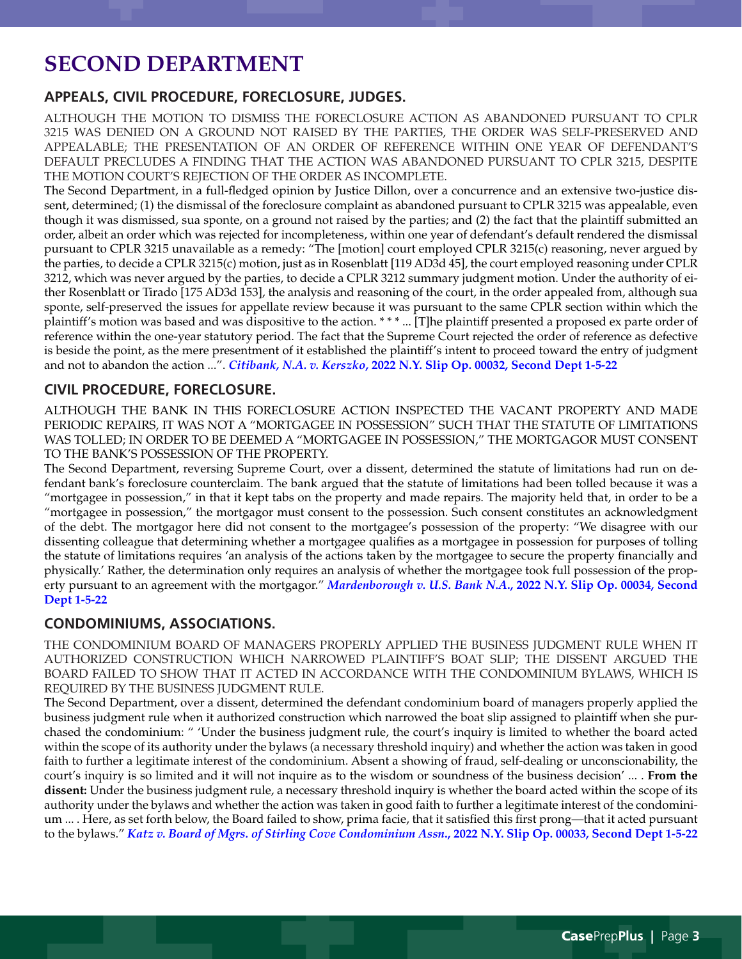# **SECOND DEPARTMENT**

## **APPEALS, CIVIL PROCEDURE, FORECLOSURE, JUDGES.**

ALTHOUGH THE MOTION TO DISMISS THE FORECLOSURE ACTION AS ABANDONED PURSUANT TO CPLR 3215 WAS DENIED ON A GROUND NOT RAISED BY THE PARTIES, THE ORDER WAS SELF-PRESERVED AND APPEALABLE; THE PRESENTATION OF AN ORDER OF REFERENCE WITHIN ONE YEAR OF DEFENDANT'S DEFAULT PRECLUDES A FINDING THAT THE ACTION WAS ABANDONED PURSUANT TO CPLR 3215, DESPITE THE MOTION COURT'S REJECTION OF THE ORDER AS INCOMPLETE.

The Second Department, in a full-fledged opinion by Justice Dillon, over a concurrence and an extensive two-justice dissent, determined; (1) the dismissal of the foreclosure complaint as abandoned pursuant to CPLR 3215 was appealable, even though it was dismissed, sua sponte, on a ground not raised by the parties; and (2) the fact that the plaintiff submitted an order, albeit an order which was rejected for incompleteness, within one year of defendant's default rendered the dismissal pursuant to CPLR 3215 unavailable as a remedy: "The [motion] court employed CPLR 3215(c) reasoning, never argued by the parties, to decide a CPLR 3215(c) motion, just as in Rosenblatt [119 AD3d 45], the court employed reasoning under CPLR 3212, which was never argued by the parties, to decide a CPLR 3212 summary judgment motion. Under the authority of either Rosenblatt or Tirado [175 AD3d 153], the analysis and reasoning of the court, in the order appealed from, although sua sponte, self-preserved the issues for appellate review because it was pursuant to the same CPLR section within which the plaintiff's motion was based and was dispositive to the action. \* \* \* ... [T]he plaintiff presented a proposed ex parte order of reference within the one-year statutory period. The fact that the Supreme Court rejected the order of reference as defective is beside the point, as the mere presentment of it established the plaintiff's intent to proceed toward the entry of judgment and not to abandon the action ...". *Citibank, N.A. v. Kerszko***[, 2022 N.Y. Slip Op. 00032, Second Dept 1-5-22](https://nycourts.gov/reporter/3dseries/2022/2022_00032.htm)**

## **CIVIL PROCEDURE, FORECLOSURE.**

ALTHOUGH THE BANK IN THIS FORECLOSURE ACTION INSPECTED THE VACANT PROPERTY AND MADE PERIODIC REPAIRS, IT WAS NOT A "MORTGAGEE IN POSSESSION" SUCH THAT THE STATUTE OF LIMITATIONS WAS TOLLED; IN ORDER TO BE DEEMED A "MORTGAGEE IN POSSESSION," THE MORTGAGOR MUST CONSENT TO THE BANK'S POSSESSION OF THE PROPERTY.

The Second Department, reversing Supreme Court, over a dissent, determined the statute of limitations had run on defendant bank's foreclosure counterclaim. The bank argued that the statute of limitations had been tolled because it was a "mortgagee in possession," in that it kept tabs on the property and made repairs. The majority held that, in order to be a "mortgagee in possession," the mortgagor must consent to the possession. Such consent constitutes an acknowledgment of the debt. The mortgagor here did not consent to the mortgagee's possession of the property: "We disagree with our dissenting colleague that determining whether a mortgagee qualifies as a mortgagee in possession for purposes of tolling the statute of limitations requires 'an analysis of the actions taken by the mortgagee to secure the property financially and physically.' Rather, the determination only requires an analysis of whether the mortgagee took full possession of the property pursuant to an agreement with the mortgagor." *Mardenborough v. U.S. Bank N.A***[., 2022 N.Y. Slip Op. 00034, Second](https://nycourts.gov/reporter/3dseries/2022/2022_00034.htm) [Dept 1-5-22](https://nycourts.gov/reporter/3dseries/2022/2022_00034.htm)**

#### **CONDOMINIUMS, ASSOCIATIONS.**

THE CONDOMINIUM BOARD OF MANAGERS PROPERLY APPLIED THE BUSINESS JUDGMENT RULE WHEN IT AUTHORIZED CONSTRUCTION WHICH NARROWED PLAINTIFF'S BOAT SLIP; THE DISSENT ARGUED THE BOARD FAILED TO SHOW THAT IT ACTED IN ACCORDANCE WITH THE CONDOMINIUM BYLAWS, WHICH IS REQUIRED BY THE BUSINESS JUDGMENT RULE.

The Second Department, over a dissent, determined the defendant condominium board of managers properly applied the business judgment rule when it authorized construction which narrowed the boat slip assigned to plaintiff when she purchased the condominium: " 'Under the business judgment rule, the court's inquiry is limited to whether the board acted within the scope of its authority under the bylaws (a necessary threshold inquiry) and whether the action was taken in good faith to further a legitimate interest of the condominium. Absent a showing of fraud, self-dealing or unconscionability, the court's inquiry is so limited and it will not inquire as to the wisdom or soundness of the business decision' ... . **From the dissent:** Under the business judgment rule, a necessary threshold inquiry is whether the board acted within the scope of its authority under the bylaws and whether the action was taken in good faith to further a legitimate interest of the condominium ... . Here, as set forth below, the Board failed to show, prima facie, that it satisfied this first prong—that it acted pursuant to the bylaws." *[Katz v. Board of Mgrs. of Stirling Cove Condominium Assn](https://nycourts.gov/reporter/3dseries/2022/2022_00033.htm)***., 2022 N.Y. Slip Op. 00033, Second Dept 1-5-22**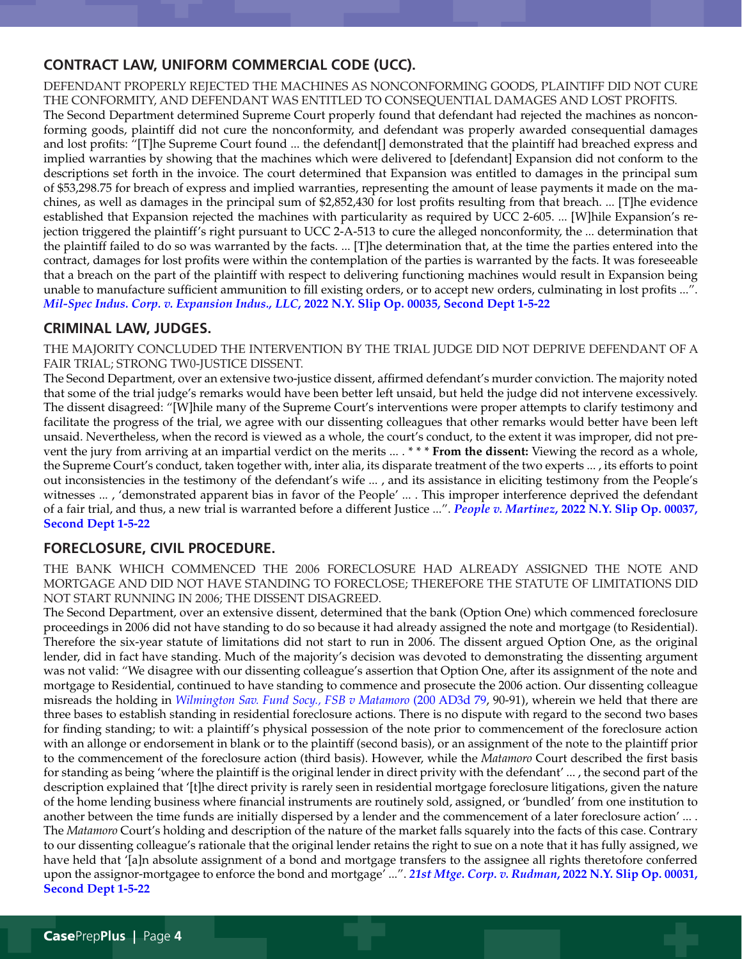## **CONTRACT LAW, UNIFORM COMMERCIAL CODE (UCC).**

DEFENDANT PROPERLY REJECTED THE MACHINES AS NONCONFORMING GOODS, PLAINTIFF DID NOT CURE THE CONFORMITY, AND DEFENDANT WAS ENTITLED TO CONSEQUENTIAL DAMAGES AND LOST PROFITS. The Second Department determined Supreme Court properly found that defendant had rejected the machines as nonconforming goods, plaintiff did not cure the nonconformity, and defendant was properly awarded consequential damages and lost profits: "[T]he Supreme Court found ... the defendant[] demonstrated that the plaintiff had breached express and implied warranties by showing that the machines which were delivered to [defendant] Expansion did not conform to the descriptions set forth in the invoice. The court determined that Expansion was entitled to damages in the principal sum of \$53,298.75 for breach of express and implied warranties, representing the amount of lease payments it made on the machines, as well as damages in the principal sum of \$2,852,430 for lost profits resulting from that breach. ... [T]he evidence established that Expansion rejected the machines with particularity as required by UCC 2-605. ... [W]hile Expansion's rejection triggered the plaintiff's right pursuant to UCC 2-A-513 to cure the alleged nonconformity, the ... determination that the plaintiff failed to do so was warranted by the facts. ... [T]he determination that, at the time the parties entered into the contract, damages for lost profits were within the contemplation of the parties is warranted by the facts. It was foreseeable that a breach on the part of the plaintiff with respect to delivering functioning machines would result in Expansion being unable to manufacture sufficient ammunition to fill existing orders, or to accept new orders, culminating in lost profits ...". *[Mil-Spec Indus. Corp. v. Expansion Indus., LLC](https://nycourts.gov/reporter/3dseries/2022/2022_00035.htm)***, 2022 N.Y. Slip Op. 00035, Second Dept 1-5-22**

#### **CRIMINAL LAW, JUDGES.**

THE MAJORITY CONCLUDED THE INTERVENTION BY THE TRIAL JUDGE DID NOT DEPRIVE DEFENDANT OF A FAIR TRIAL; STRONG TWO-JUSTICE DISSENT.

The Second Department, over an extensive two-justice dissent, affirmed defendant's murder conviction. The majority noted that some of the trial judge's remarks would have been better left unsaid, but held the judge did not intervene excessively. The dissent disagreed: "[W]hile many of the Supreme Court's interventions were proper attempts to clarify testimony and facilitate the progress of the trial, we agree with our dissenting colleagues that other remarks would better have been left unsaid. Nevertheless, when the record is viewed as a whole, the court's conduct, to the extent it was improper, did not prevent the jury from arriving at an impartial verdict on the merits ... . \* \* \* **From the dissent:** Viewing the record as a whole, the Supreme Court's conduct, taken together with, inter alia, its disparate treatment of the two experts ... , its efforts to point out inconsistencies in the testimony of the defendant's wife ... , and its assistance in eliciting testimony from the People's witnesses ... , 'demonstrated apparent bias in favor of the People' ... . This improper interference deprived the defendant of a fair trial, and thus, a new trial is warranted before a different Justice ...". *People v. Martinez***[, 2022 N.Y. Slip Op. 00037,](https://nycourts.gov/reporter/3dseries/2022/2022_00037.htm)  [Second Dept 1-5-22](https://nycourts.gov/reporter/3dseries/2022/2022_00037.htm)**

## **FORECLOSURE, CIVIL PROCEDURE.**

THE BANK WHICH COMMENCED THE 2006 FORECLOSURE HAD ALREADY ASSIGNED THE NOTE AND MORTGAGE AND DID NOT HAVE STANDING TO FORECLOSE; THEREFORE THE STATUTE OF LIMITATIONS DID NOT START RUNNING IN 2006; THE DISSENT DISAGREED.

The Second Department, over an extensive dissent, determined that the bank (Option One) which commenced foreclosure proceedings in 2006 did not have standing to do so because it had already assigned the note and mortgage (to Residential). Therefore the six-year statute of limitations did not start to run in 2006. The dissent argued Option One, as the original lender, did in fact have standing. Much of the majority's decision was devoted to demonstrating the dissenting argument was not valid: "We disagree with our dissenting colleague's assertion that Option One, after its assignment of the note and mortgage to Residential, continued to have standing to commence and prosecute the 2006 action. Our dissenting colleague misreads the holding in *[Wilmington Sav. Fund Socy., FSB v Matamoro](https://nycourts.gov/reporter/3dseries/2021/2021_05741.htm)* (200 AD3d 79, 90-91), wherein we held that there are three bases to establish standing in residential foreclosure actions. There is no dispute with regard to the second two bases for finding standing; to wit: a plaintiff's physical possession of the note prior to commencement of the foreclosure action with an allonge or endorsement in blank or to the plaintiff (second basis), or an assignment of the note to the plaintiff prior to the commencement of the foreclosure action (third basis). However, while the *Matamoro* Court described the first basis for standing as being 'where the plaintiff is the original lender in direct privity with the defendant' ... , the second part of the description explained that '[t]he direct privity is rarely seen in residential mortgage foreclosure litigations, given the nature of the home lending business where financial instruments are routinely sold, assigned, or 'bundled' from one institution to another between the time funds are initially dispersed by a lender and the commencement of a later foreclosure action' ... . The *Matamoro* Court's holding and description of the nature of the market falls squarely into the facts of this case. Contrary to our dissenting colleague's rationale that the original lender retains the right to sue on a note that it has fully assigned, we have held that '[a]n absolute assignment of a bond and mortgage transfers to the assignee all rights theretofore conferred upon the assignor-mortgagee to enforce the bond and mortgage' ...". *[21st Mtge. Corp. v. Rudman](https://nycourts.gov/reporter/3dseries/2022/2022_00031.htm)***, 2022 N.Y. Slip Op. 00031, [Second Dept 1-5-22](https://nycourts.gov/reporter/3dseries/2022/2022_00031.htm)**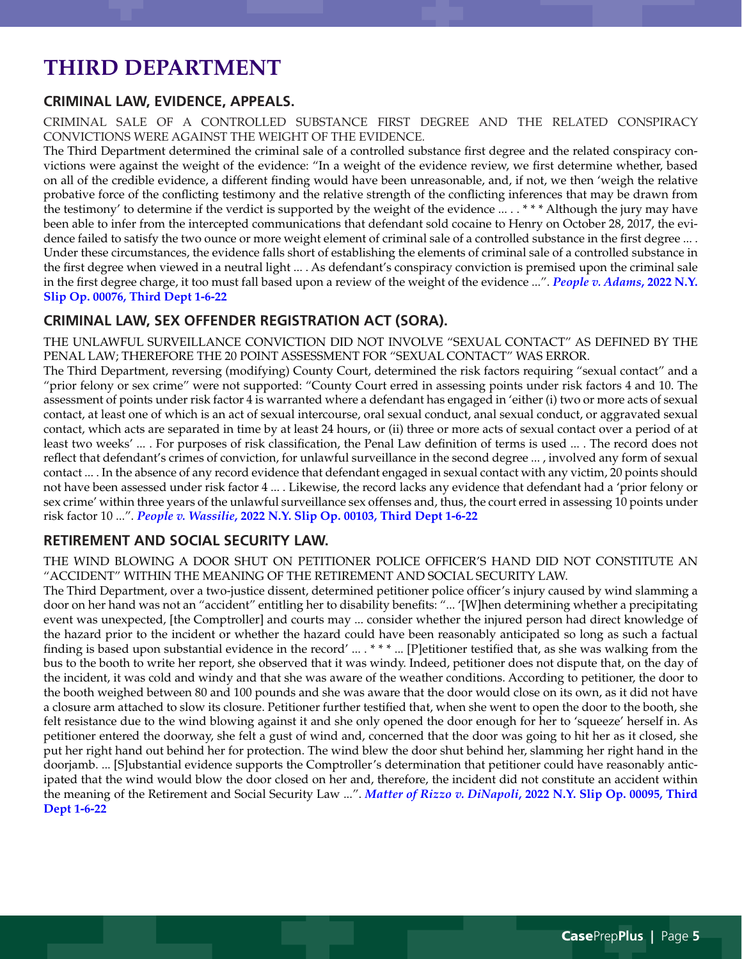# **THIRD DEPARTMENT**

# **CRIMINAL LAW, EVIDENCE, APPEALS.**

CRIMINAL SALE OF A CONTROLLED SUBSTANCE FIRST DEGREE AND THE RELATED CONSPIRACY CONVICTIONS WERE AGAINST THE WEIGHT OF THE EVIDENCE.

The Third Department determined the criminal sale of a controlled substance first degree and the related conspiracy convictions were against the weight of the evidence: "In a weight of the evidence review, we first determine whether, based on all of the credible evidence, a different finding would have been unreasonable, and, if not, we then 'weigh the relative probative force of the conflicting testimony and the relative strength of the conflicting inferences that may be drawn from the testimony' to determine if the verdict is supported by the weight of the evidence ... . . \* \* \* Although the jury may have been able to infer from the intercepted communications that defendant sold cocaine to Henry on October 28, 2017, the evidence failed to satisfy the two ounce or more weight element of criminal sale of a controlled substance in the first degree ... . Under these circumstances, the evidence falls short of establishing the elements of criminal sale of a controlled substance in the first degree when viewed in a neutral light ... . As defendant's conspiracy conviction is premised upon the criminal sale in the first degree charge, it too must fall based upon a review of the weight of the evidence ...". *[People v. Adams](https://nycourts.gov/reporter/3dseries/2022/2022_00076.htm)***, 2022 N.Y. [Slip Op. 00076, Third Dept 1-6-22](https://nycourts.gov/reporter/3dseries/2022/2022_00076.htm)**

## **CRIMINAL LAW, SEX OFFENDER REGISTRATION ACT (SORA).**

THE UNLAWFUL SURVEILLANCE CONVICTION DID NOT INVOLVE "SEXUAL CONTACT" AS DEFINED BY THE PENAL LAW; THEREFORE THE 20 POINT ASSESSMENT FOR "SEXUAL CONTACT" WAS ERROR.

The Third Department, reversing (modifying) County Court, determined the risk factors requiring "sexual contact" and a "prior felony or sex crime" were not supported: "County Court erred in assessing points under risk factors 4 and 10. The assessment of points under risk factor 4 is warranted where a defendant has engaged in 'either (i) two or more acts of sexual contact, at least one of which is an act of sexual intercourse, oral sexual conduct, anal sexual conduct, or aggravated sexual contact, which acts are separated in time by at least 24 hours, or (ii) three or more acts of sexual contact over a period of at least two weeks' ... . For purposes of risk classification, the Penal Law definition of terms is used ... . The record does not reflect that defendant's crimes of conviction, for unlawful surveillance in the second degree ... , involved any form of sexual contact ... . In the absence of any record evidence that defendant engaged in sexual contact with any victim, 20 points should not have been assessed under risk factor 4 ... . Likewise, the record lacks any evidence that defendant had a 'prior felony or sex crime' within three years of the unlawful surveillance sex offenses and, thus, the court erred in assessing 10 points under risk factor 10 ...". *People v. Wassilie***[, 2022 N.Y. Slip Op. 00103, Third Dept 1-6-22](https://nycourts.gov/reporter/3dseries/2022/2022_00103.htm)**

## **RETIREMENT AND SOCIAL SECURITY LAW.**

THE WIND BLOWING A DOOR SHUT ON PETITIONER POLICE OFFICER'S HAND DID NOT CONSTITUTE AN "ACCIDENT" WITHIN THE MEANING OF THE RETIREMENT AND SOCIAL SECURITY LAW.

The Third Department, over a two-justice dissent, determined petitioner police officer's injury caused by wind slamming a door on her hand was not an "accident" entitling her to disability benefits: "... '[W]hen determining whether a precipitating event was unexpected, [the Comptroller] and courts may ... consider whether the injured person had direct knowledge of the hazard prior to the incident or whether the hazard could have been reasonably anticipated so long as such a factual finding is based upon substantial evidence in the record' ... . \* \* \* ... [P]etitioner testified that, as she was walking from the bus to the booth to write her report, she observed that it was windy. Indeed, petitioner does not dispute that, on the day of the incident, it was cold and windy and that she was aware of the weather conditions. According to petitioner, the door to the booth weighed between 80 and 100 pounds and she was aware that the door would close on its own, as it did not have a closure arm attached to slow its closure. Petitioner further testified that, when she went to open the door to the booth, she felt resistance due to the wind blowing against it and she only opened the door enough for her to 'squeeze' herself in. As petitioner entered the doorway, she felt a gust of wind and, concerned that the door was going to hit her as it closed, she put her right hand out behind her for protection. The wind blew the door shut behind her, slamming her right hand in the doorjamb. ... [S]ubstantial evidence supports the Comptroller's determination that petitioner could have reasonably anticipated that the wind would blow the door closed on her and, therefore, the incident did not constitute an accident within the meaning of the Retirement and Social Security Law ...". *Matter of Rizzo v. DiNapoli***[, 2022 N.Y. Slip Op. 00095, Third](https://nycourts.gov/reporter/3dseries/2022/2022_00095.htm)  [Dept 1-6-22](https://nycourts.gov/reporter/3dseries/2022/2022_00095.htm)**